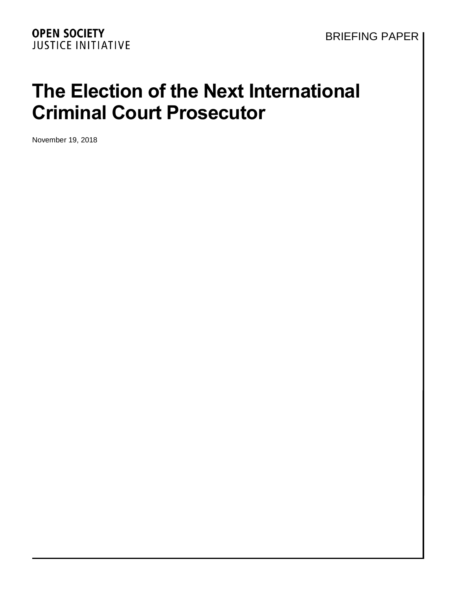# **The Election of the Next International Criminal Court Prosecutor**

November 19, 2018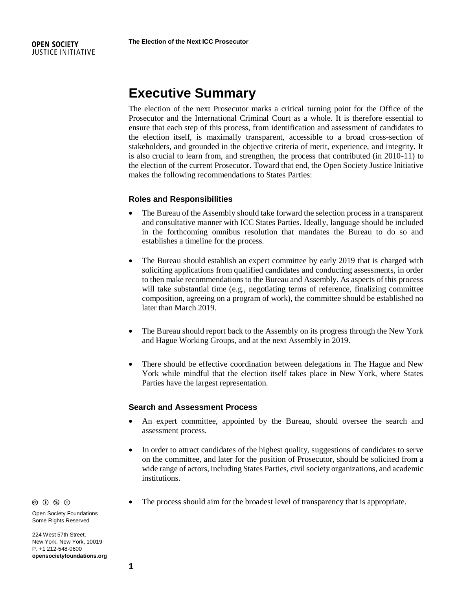#### **OPEN SOCIETY JUSTICE INITIATIVE**

# **Executive Summary**

The election of the next Prosecutor marks a critical turning point for the Office of the Prosecutor and the International Criminal Court as a whole. It is therefore essential to ensure that each step of this process, from identification and assessment of candidates to the election itself, is maximally transparent, accessible to a broad cross-section of stakeholders, and grounded in the objective criteria of merit, experience, and integrity. It is also crucial to learn from, and strengthen, the process that contributed (in 2010-11) to the election of the current Prosecutor. Toward that end, the Open Society Justice Initiative makes the following recommendations to States Parties:

#### **Roles and Responsibilities**

- The Bureau of the Assembly should take forward the selection process in a transparent and consultative manner with ICC States Parties. Ideally, language should be included in the forthcoming omnibus resolution that mandates the Bureau to do so and establishes a timeline for the process.
- The Bureau should establish an expert committee by early 2019 that is charged with soliciting applications from qualified candidates and conducting assessments, in order to then make recommendations to the Bureau and Assembly. As aspects of this process will take substantial time (e.g., negotiating terms of reference, finalizing committee composition, agreeing on a program of work), the committee should be established no later than March 2019.
- The Bureau should report back to the Assembly on its progress through the New York and Hague Working Groups, and at the next Assembly in 2019.
- There should be effective coordination between delegations in The Hague and New York while mindful that the election itself takes place in New York, where States Parties have the largest representation.

#### **Search and Assessment Process**

- An expert committee, appointed by the Bureau, should oversee the search and assessment process.
- In order to attract candidates of the highest quality, suggestions of candidates to serve on the committee, and later for the position of Prosecutor, should be solicited from a wide range of actors, including States Parties, civil society organizations, and academic institutions.
- The process should aim for the broadest level of transparency that is appropriate.

 $\circledcirc$   $\circledcirc$   $\circledcirc$ 

Open Society Foundations Some Rights Reserved

224 West 57th Street, New York, New York, 10019 P. +1 212-548-0600 **opensocietyfoundations.org**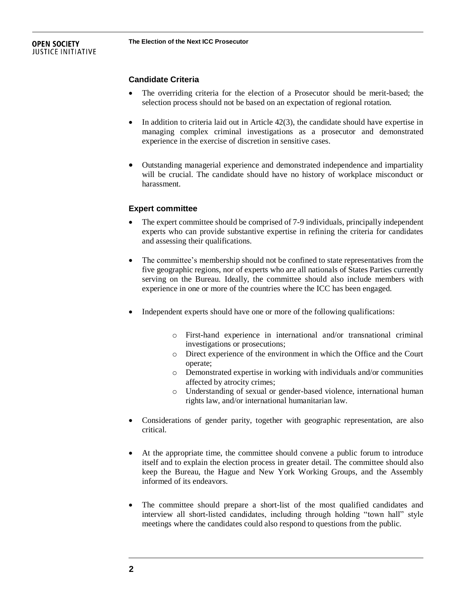#### **OPEN SOCIETY JUSTICE INITIATIVE**

## **Candidate Criteria**

- The overriding criteria for the election of a Prosecutor should be merit-based; the selection process should not be based on an expectation of regional rotation.
- In addition to criteria laid out in Article 42(3), the candidate should have expertise in managing complex criminal investigations as a prosecutor and demonstrated experience in the exercise of discretion in sensitive cases.
- Outstanding managerial experience and demonstrated independence and impartiality will be crucial. The candidate should have no history of workplace misconduct or harassment.

#### **Expert committee**

- The expert committee should be comprised of 7-9 individuals, principally independent experts who can provide substantive expertise in refining the criteria for candidates and assessing their qualifications.
- The committee's membership should not be confined to state representatives from the five geographic regions, nor of experts who are all nationals of States Parties currently serving on the Bureau. Ideally, the committee should also include members with experience in one or more of the countries where the ICC has been engaged.
- Independent experts should have one or more of the following qualifications:
	- o First-hand experience in international and/or transnational criminal investigations or prosecutions;
	- o Direct experience of the environment in which the Office and the Court operate;
	- o Demonstrated expertise in working with individuals and/or communities affected by atrocity crimes;
	- o Understanding of sexual or gender-based violence, international human rights law, and/or international humanitarian law.
- Considerations of gender parity, together with geographic representation, are also critical.
- At the appropriate time, the committee should convene a public forum to introduce itself and to explain the election process in greater detail. The committee should also keep the Bureau, the Hague and New York Working Groups, and the Assembly informed of its endeavors.
- The committee should prepare a short-list of the most qualified candidates and interview all short-listed candidates, including through holding "town hall" style meetings where the candidates could also respond to questions from the public.